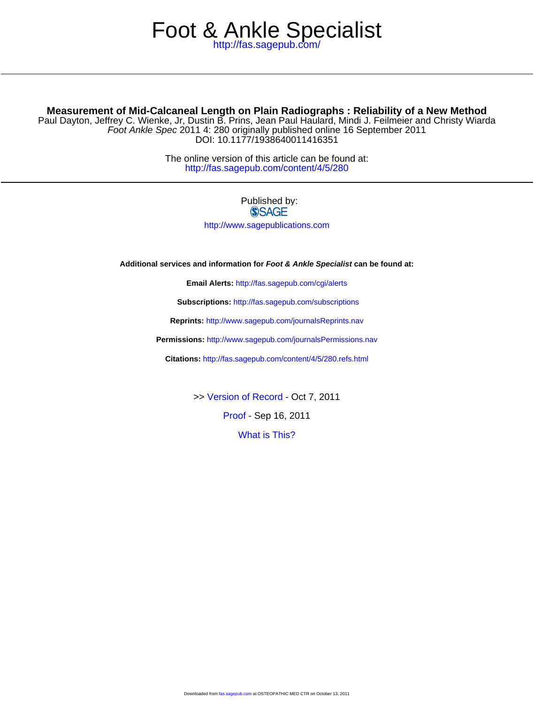## <http://fas.sagepub.com/> Foot & Ankle Specialist

### **Measurement of Mid-Calcaneal Length on Plain Radiographs : Reliability of a New Method**

DOI: 10.1177/1938640011416351 Foot Ankle Spec 2011 4: 280 originally published online 16 September 2011 Paul Dayton, Jeffrey C. Wienke, Jr, Dustin B. Prins, Jean Paul Haulard, Mindi J. Feilmeier and Christy Wiarda

> <http://fas.sagepub.com/content/4/5/280> The online version of this article can be found at:

### Published by: **SSAGE**

<http://www.sagepublications.com>

**Additional services and information for Foot & Ankle Specialist can be found at:**

**Email Alerts:** <http://fas.sagepub.com/cgi/alerts>

**Subscriptions:** <http://fas.sagepub.com/subscriptions>

**Reprints:** <http://www.sagepub.com/journalsReprints.nav>

**Permissions:** <http://www.sagepub.com/journalsPermissions.nav>

**Citations:** <http://fas.sagepub.com/content/4/5/280.refs.html>

>> [Version of Record -](http://fas.sagepub.com/content/4/5/280.full.pdf) Oct 7, 2011

[Proof -](http://fas.sagepub.com/content/early/2011/05/13/1938640011416351.full.pdf) Sep 16, 2011

[What is This?](http://online.sagepub.com/site/sphelp/vorhelp.xhtml)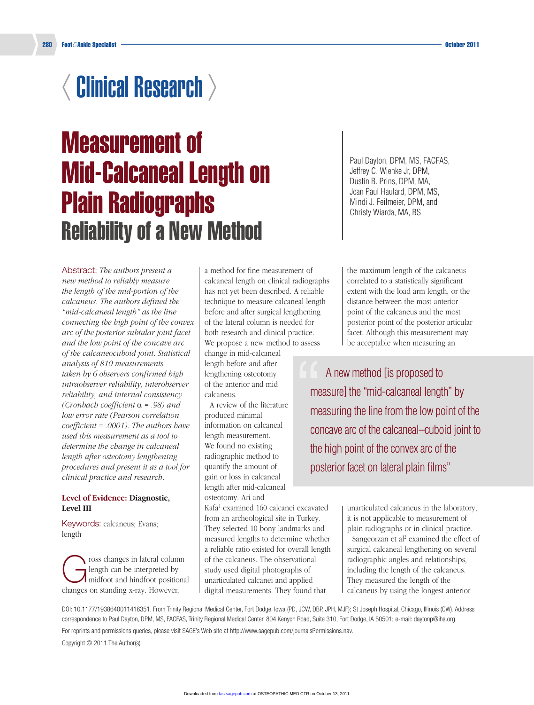# $\langle$  Clinical Research  $\rangle$

# Measurement of Mid-Calcaneal Length on Plain Radiographs Reliability of a New Method

Abstract: *The authors present a new method to reliably measure the length of the mid-portion of the calcaneus. The authors defined the "mid-calcaneal length" as the line connecting the high point of the convex arc of the posterior subtalar joint facet and the low point of the concave arc of the calcaneocuboid joint. Statistical analysis of 810 measurements taken by 6 observers confirmed high intraobserver reliability, interobserver reliability, and internal consistency (Cronbach coefficient* a *= .98) and low error rate (Pearson correlation coefficient = .0001). The authors have used this measurement as a tool to determine the change in calcaneal length after osteotomy lengthening procedures and present it as a tool for clinical practice and research.*

#### **Level of Evidence: Diagnostic, Level III**

Keywords: calcaneus; Evans; length

ross changes in lateral column<br>
length can be interpreted by<br>
midfoot and hindfoot positional length can be interpreted by changes on standing x-ray. However,

a method for fine measurement of calcaneal length on clinical radiographs has not yet been described. A reliable technique to measure calcaneal length before and after surgical lengthening of the lateral column is needed for both research and clinical practice. We propose a new method to assess

change in mid-calcaneal length before and after lengthening osteotomy of the anterior and mid calcaneus.

A review of the literature produced minimal information on calcaneal length measurement. We found no existing radiographic method to quantify the amount of gain or loss in calcaneal length after mid-calcaneal osteotomy. Ari and

Kafa1 examined 160 calcanei excavated from an archeological site in Turkey. They selected 10 bony landmarks and measured lengths to determine whether a reliable ratio existed for overall length of the calcaneus. The observational study used digital photographs of unarticulated calcanei and applied digital measurements. They found that

Paul Dayton, DPM, MS, FACFAS, Jeffrey C. Wienke Jr, DPM, Dustin B. Prins, DPM, MA, Jean Paul Haulard, DPM, MS, Mindi J. Feilmeier, DPM, and Christy Wiarda, MA, BS

the maximum length of the calcaneus correlated to a statistically significant extent with the load arm length, or the distance between the most anterior point of the calcaneus and the most posterior point of the posterior articular facet. Although this measurement may be acceptable when measuring an

A new method [is proposed to measure] the "mid-calcaneal length" by measuring the line from the low point of the concave arc of the calcaneal–cuboid joint to the high point of the convex arc of the posterior facet on lateral plain films" "

> unarticulated calcaneus in the laboratory, it is not applicable to measurement of plain radiographs or in clinical practice.

Sangeorzan et al<sup>2</sup> examined the effect of surgical calcaneal lengthening on several radiographic angles and relationships, including the length of the calcaneus. They measured the length of the calcaneus by using the longest anterior

DOI: 10.1177/1938640011416351. From Trinity Regional Medical Center, Fort Dodge, Iowa (PD, JCW, DBP, JPH, MJF); St Joseph Hospital, Chicago, Illinois (CW). Address correspondence to Paul Dayton, DPM, MS, FACFAS, Trinity Regional Medical Center, 804 Kenyon Road, Suite 310, Fort Dodge, IA 50501; e-mail: daytonp@ihs.org.

For reprints and permissions queries, please visit SAGE's Web site at http://www.sagepub.com/journalsPermissions.nav.

Copyright © 2011 The Author(s)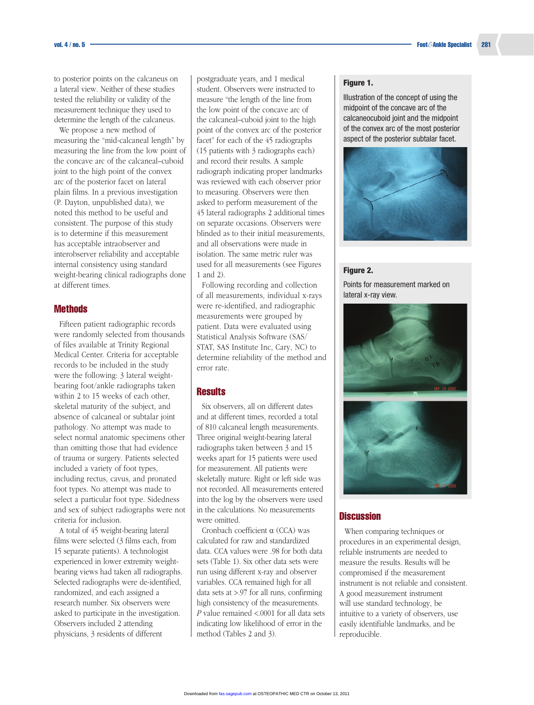to posterior points on the calcaneus on a lateral view. Neither of these studies tested the reliability or validity of the measurement technique they used to determine the length of the calcaneus.

We propose a new method of measuring the "mid-calcaneal length" by measuring the line from the low point of the concave arc of the calcaneal–cuboid joint to the high point of the convex arc of the posterior facet on lateral plain films. In a previous investigation (P. Dayton, unpublished data), we noted this method to be useful and consistent. The purpose of this study is to determine if this measurement has acceptable intraobserver and interobserver reliability and acceptable internal consistency using standard weight-bearing clinical radiographs done at different times.

#### **Methods**

Fifteen patient radiographic records were randomly selected from thousands of files available at Trinity Regional Medical Center. Criteria for acceptable records to be included in the study were the following: 3 lateral weightbearing foot/ankle radiographs taken within 2 to 15 weeks of each other, skeletal maturity of the subject, and absence of calcaneal or subtalar joint pathology. No attempt was made to select normal anatomic specimens other than omitting those that had evidence of trauma or surgery. Patients selected included a variety of foot types, including rectus, cavus, and pronated foot types. No attempt was made to select a particular foot type. Sidedness and sex of subject radiographs were not criteria for inclusion.

A total of 45 weight-bearing lateral films were selected (3 films each, from 15 separate patients). A technologist experienced in lower extremity weightbearing views had taken all radiographs. Selected radiographs were de-identified, randomized, and each assigned a research number. Six observers were asked to participate in the investigation. Observers included 2 attending physicians, 3 residents of different

postgraduate years, and 1 medical student. Observers were instructed to measure "the length of the line from the low point of the concave arc of the calcaneal–cuboid joint to the high point of the convex arc of the posterior facet" for each of the 45 radiographs (15 patients with 3 radiographs each) and record their results. A sample radiograph indicating proper landmarks was reviewed with each observer prior to measuring. Observers were then asked to perform measurement of the 45 lateral radiographs 2 additional times on separate occasions. Observers were blinded as to their initial measurements, and all observations were made in isolation. The same metric ruler was used for all measurements (see Figures 1 and 2).

Following recording and collection of all measurements, individual x-rays were re-identified, and radiographic measurements were grouped by patient. Data were evaluated using Statistical Analysis Software (SAS/ STAT, SAS Institute Inc, Cary, NC) to determine reliability of the method and error rate.

#### **Results**

Six observers, all on different dates and at different times, recorded a total of 810 calcaneal length measurements. Three original weight-bearing lateral radiographs taken between 3 and 15 weeks apart for 15 patients were used for measurement. All patients were skeletally mature. Right or left side was not recorded. All measurements entered into the log by the observers were used in the calculations. No measurements were omitted.

Cronbach coefficient a (CCA) was calculated for raw and standardized data. CCA values were .98 for both data sets (Table 1). Six other data sets were run using different x-ray and observer variables. CCA remained high for all data sets at >.97 for all runs, confirming high consistency of the measurements. *P* value remained <.0001 for all data sets indicating low likelihood of error in the method (Tables 2 and 3).

#### Figure 1.

Illustration of the concept of using the midpoint of the concave arc of the calcaneocuboid joint and the midpoint of the convex arc of the most posterior aspect of the posterior subtalar facet.



#### Figure 2.

Points for measurement marked on lateral x-ray view.





#### **Discussion**

When comparing techniques or procedures in an experimental design, reliable instruments are needed to measure the results. Results will be compromised if the measurement instrument is not reliable and consistent. A good measurement instrument will use standard technology, be intuitive to a variety of observers, use easily identifiable landmarks, and be reproducible.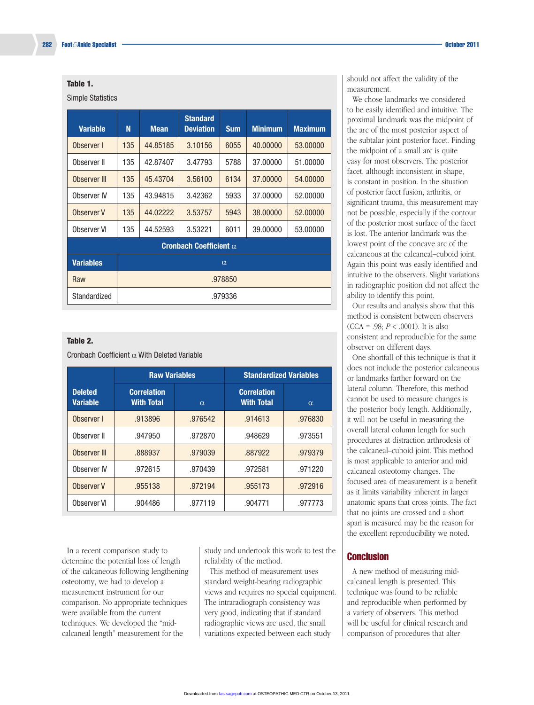#### Table 1.

#### Simple Statistics

| <b>Variable</b>               | N        | <b>Mean</b> | <b>Standard</b><br><b>Deviation</b> | <b>Sum</b> | <b>Minimum</b> | <b>Maximum</b> |  |
|-------------------------------|----------|-------------|-------------------------------------|------------|----------------|----------------|--|
| Observer I                    | 135      | 44.85185    | 3.10156                             | 6055       | 40.00000       | 53.00000       |  |
| Observer II                   | 135      | 42.87407    | 3.47793                             | 5788       | 37,00000       | 51.00000       |  |
| Observer III                  | 135      | 45.43704    | 3.56100                             | 6134       | 37,00000       | 54.00000       |  |
| Observer IV                   | 135      | 43.94815    | 3.42362                             | 5933       | 37.00000       | 52.00000       |  |
| Observer V                    | 135      | 44.02222    | 3.53757                             | 5943       | 38,00000       | 52,00000       |  |
| Observer VI                   | 135      | 44.52593    | 3.53221                             | 6011       | 39,00000       | 53,00000       |  |
| Cronbach Coefficient $\alpha$ |          |             |                                     |            |                |                |  |
| <b>Variables</b>              | $\alpha$ |             |                                     |            |                |                |  |
| Raw                           | .978850  |             |                                     |            |                |                |  |
| Standardized                  | .979336  |             |                                     |            |                |                |  |

#### Table 2.

Cronbach Coefficient  $\alpha$  With Deleted Variable

|                                   | <b>Raw Variables</b>                    |          | <b>Standardized Variables</b>           |          |  |
|-----------------------------------|-----------------------------------------|----------|-----------------------------------------|----------|--|
| <b>Deleted</b><br><b>Variable</b> | <b>Correlation</b><br><b>With Total</b> | $\alpha$ | <b>Correlation</b><br><b>With Total</b> | $\alpha$ |  |
| Observer I                        | .913896                                 | .976542  | .914613                                 | .976830  |  |
| Observer II                       | .947950                                 | .972870  | .948629                                 | .973551  |  |
| Observer III                      | .888937                                 | .979039  | .887922                                 | .979379  |  |
| Observer IV                       | .972615                                 | .970439  | .972581                                 | .971220  |  |
| Observer V                        | .955138                                 | .972194  | .955173                                 | .972916  |  |
| Observer VI                       | .904486                                 | .977119  | .904771                                 | .977773  |  |

In a recent comparison study to determine the potential loss of length of the calcaneous following lengthening osteotomy, we had to develop a measurement instrument for our comparison. No appropriate techniques were available from the current techniques. We developed the "midcalcaneal length" measurement for the

study and undertook this work to test the reliability of the method.

This method of measurement uses standard weight-bearing radiographic views and requires no special equipment. The intraradiograph consistency was very good, indicating that if standard radiographic views are used, the small variations expected between each study

should not affect the validity of the measurement.

We chose landmarks we considered to be easily identified and intuitive. The proximal landmark was the midpoint of the arc of the most posterior aspect of the subtalar joint posterior facet. Finding the midpoint of a small arc is quite easy for most observers. The posterior facet, although inconsistent in shape, is constant in position. In the situation of posterior facet fusion, arthritis, or significant trauma, this measurement may not be possible, especially if the contour of the posterior most surface of the facet is lost. The anterior landmark was the lowest point of the concave arc of the calcaneous at the calcaneal–cuboid joint. Again this point was easily identified and intuitive to the observers. Slight variations in radiographic position did not affect the ability to identify this point.

Our results and analysis show that this method is consistent between observers  $(CCA = .98; P < .0001)$ . It is also consistent and reproducible for the same observer on different days.

One shortfall of this technique is that it does not include the posterior calcaneous or landmarks farther forward on the lateral column. Therefore, this method cannot be used to measure changes is the posterior body length. Additionally, it will not be useful in measuring the overall lateral column length for such procedures at distraction arthrodesis of the calcaneal–cuboid joint. This method is most applicable to anterior and mid calcaneal osteotomy changes. The focused area of measurement is a benefit as it limits variability inherent in larger anatomic spans that cross joints. The fact that no joints are crossed and a short span is measured may be the reason for the excellent reproducibility we noted.

#### **Conclusion**

A new method of measuring midcalcaneal length is presented. This technique was found to be reliable and reproducible when performed by a variety of observers. This method will be useful for clinical research and comparison of procedures that alter